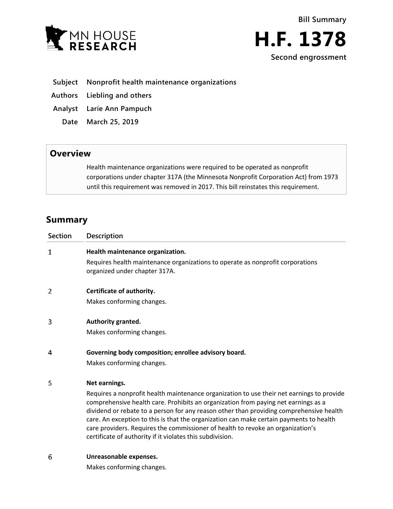



- **Subject Nonprofit health maintenance organizations**
- **Authors Liebling and others**
- **Analyst Larie Ann Pampuch**
- **Date March 25, 2019**

## **Overview**

Health maintenance organizations were required to be operated as nonprofit corporations under chapter 317A (the Minnesota Nonprofit Corporation Act) from 1973 until this requirement was removed in 2017. This bill reinstates this requirement.

## **Summary**

| <b>Section</b> | Description                                                                                                                                                                                                                                                                                                                                                                                                                                                                                                           |
|----------------|-----------------------------------------------------------------------------------------------------------------------------------------------------------------------------------------------------------------------------------------------------------------------------------------------------------------------------------------------------------------------------------------------------------------------------------------------------------------------------------------------------------------------|
| 1              | Health maintenance organization.                                                                                                                                                                                                                                                                                                                                                                                                                                                                                      |
|                | Requires health maintenance organizations to operate as nonprofit corporations<br>organized under chapter 317A.                                                                                                                                                                                                                                                                                                                                                                                                       |
| 2              | Certificate of authority.                                                                                                                                                                                                                                                                                                                                                                                                                                                                                             |
|                | Makes conforming changes.                                                                                                                                                                                                                                                                                                                                                                                                                                                                                             |
| 3              | Authority granted.                                                                                                                                                                                                                                                                                                                                                                                                                                                                                                    |
|                | Makes conforming changes.                                                                                                                                                                                                                                                                                                                                                                                                                                                                                             |
| 4              | Governing body composition; enrollee advisory board.                                                                                                                                                                                                                                                                                                                                                                                                                                                                  |
|                | Makes conforming changes.                                                                                                                                                                                                                                                                                                                                                                                                                                                                                             |
| 5              | Net earnings.                                                                                                                                                                                                                                                                                                                                                                                                                                                                                                         |
|                | Requires a nonprofit health maintenance organization to use their net earnings to provide<br>comprehensive health care. Prohibits an organization from paying net earnings as a<br>dividend or rebate to a person for any reason other than providing comprehensive health<br>care. An exception to this is that the organization can make certain payments to health<br>care providers. Requires the commissioner of health to revoke an organization's<br>certificate of authority if it violates this subdivision. |
|                | متماما ومتوجب ومتحددا                                                                                                                                                                                                                                                                                                                                                                                                                                                                                                 |

6 **Unreasonable expenses.** 

Makes conforming changes.